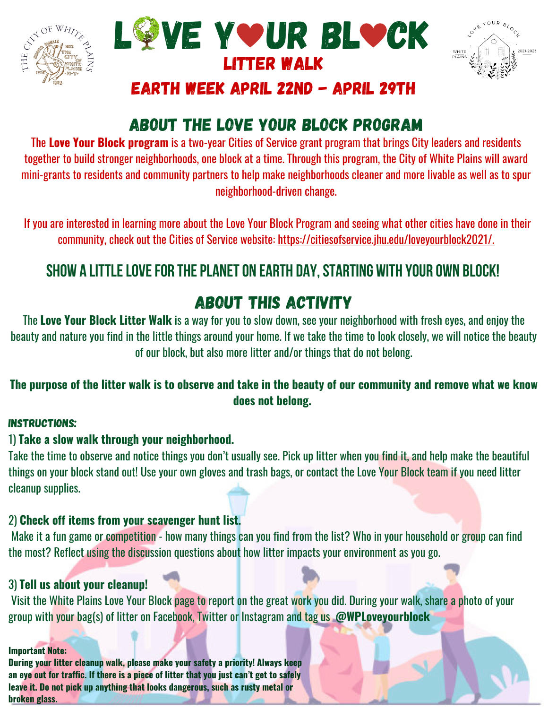





### eARTH wEEK April 22nd - April 29th

## About the Love Your Block Program

The **Love Your Block program** is a two-year Cities of Service grant program that brings City leaders and residents together to build stronger neighborhoods, one block at a time. Through this program, the City of White Plains will award mini-grants to residents and community partners to help make neighborhoods cleaner and more livable as well as to spur neighborhood-driven change.

If you are interested in learning more about the Love Your Block Program and seeing what other cities have done in their community, check out the Cities of Service website: [https://citiesofservice.jhu.edu/loveyourblock2021/.](https://citiesofservice.jhu.edu/loveyourblock2021/)

## **Show a littlelovefor theplaneton Earth Day,starting with your own block!**

# About this activity

The **Love Your Block Litter Walk** is a way for you to slow down, see your neighborhood with fresh eyes, and enjoy the beauty and nature you find in the little things around your home. If we take the time to look closely, we will notice the beauty of our block, but also more litter and/or things that do not belong.

#### The purpose of the litter walk is to observe and take in the beauty of our community and remove what we know **does not belong.**

#### INSTRUCTIONS:

#### 1) **Take a slow walk through your neighborhood.**

Take the time to observe and notice things you don't usually see. Pick up litter when you find it, and help make the beautiful things on your block stand out! Use your own gloves and trash bags, or contact the Love Your Block team if you need litter cleanup supplies.

#### 2) **Check off items from your scavenger hunt list.**

Make it a fun game or competition - how many things can you find from the list? Who in your household or group can find the most? Reflect using the discussion questions about how litter impacts your environment as you go.

#### 3) **Tell us about your cleanup!**

Visit the White Plains Love Your Block page to report on the great work you did. During your walk, share a photo of your group with your bag(s) of litter on Facebook, Twitter or Instagram and tag us **@WPLoveyourblock**

#### **Important Note:**

**During your litter cleanup walk, please make your safety a priority! Always keep an eye out for traffic. If there is a piece of litter that you just can't get to safely leave it. Do not pick up anything that looks dangerous, such as rusty metal or broken glass.**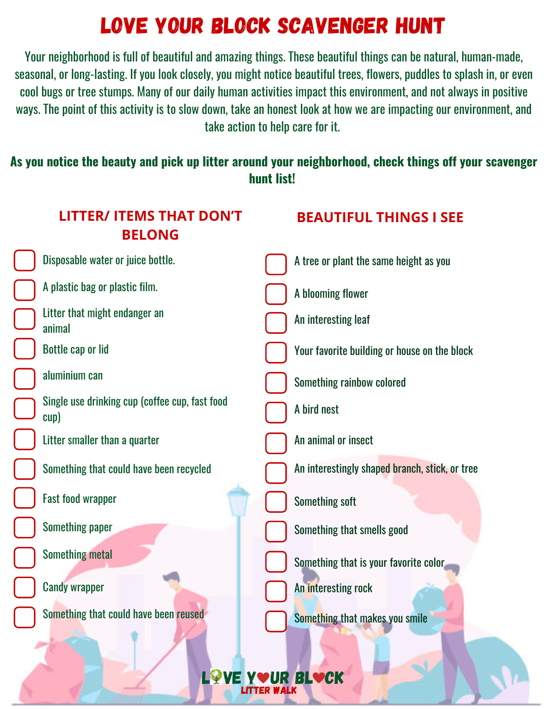# Love YOur BLock Scavenger Hunt

Your neighborhood is full of beautiful and amazing things. These beautiful things can be natural, human-made, seasonal, or long-lasting. If you look closely, you might notice beautiful trees, flowers, puddles to splash in, or even cool bugs or tree stumps. Many of our daily human activities impact this environment, and not always in positive ways. The point of this activity is to slow down, take an honest look at how we are impacting our environment, and take action to help care for it.

### **As you notice the beauty and pick up litter around your neighborhood, check things off your scavenger hunt list!**

| <b>LITTER/ ITEMS THAT DON'T</b><br><b>BELONG</b>       | <b>BEAUTIFUL THINGS I SEE</b>                  |
|--------------------------------------------------------|------------------------------------------------|
| Disposable water or juice bottle.                      | A tree or plant the same height as you         |
| A plastic bag or plastic film.                         | A blooming flower                              |
| Litter that might endanger an<br>animal                | An interesting leaf                            |
| <b>Bottle cap or lid</b>                               | Your favorite building or house on the block   |
| aluminium can                                          | Something rainbow colored                      |
| Single use drinking cup (coffee cup, fast food<br>cup) | A bird nest                                    |
| Litter smaller than a quarter                          | An animal or insect                            |
| Something that could have been recycled                | An interestingly shaped branch, stick, or tree |
| <b>Fast food wrapper</b>                               | <b>Something soft</b>                          |
| <b>Something paper</b>                                 | Something that smells good                     |
| <b>Something metal</b>                                 | Something that is your favorite color          |
| <b>Candy wrapper</b>                                   | An interesting rock                            |
| Something that could have been reused                  | Something that makes you smile                 |
|                                                        |                                                |

LOVE YOUR BLOCK Litter Walk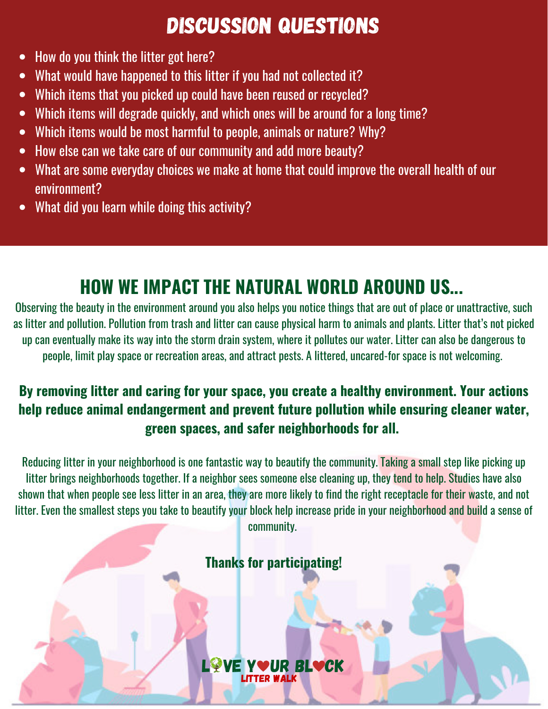# Discussion Questions

- How do you think the litter got here?
- What would have happened to this litter if you had not collected it?  $\bullet$
- Which items that you picked up could have been reused or recycled?  $\bullet$
- Which items will degrade quickly, and which ones will be around for a long time?  $\bullet$
- Which items would be most harmful to people, animals or nature? Why?  $\bullet$
- How else can we take care of our community and add more beauty?  $\bullet$
- What are some everyday choices we make at home that could improve the overall health of our environment?
- What did you learn while doing this activity?  $\bullet$

# **HOW WE IMPACT THE NATURAL WORLD AROUND US...**

Observing the beauty in the environment around you also helps you notice things that are out of place or unattractive, such as litter and pollution. Pollution from trash and litter can cause physical harm to animals and plants. Litter that's not picked up can eventually make its way into the storm drain system, where it pollutes our water. Litter can also be dangerous to people, limit play space or recreation areas, and attract pests. A littered, uncared-for space is not welcoming.

### **By removing litter and caring for your space, you create a healthy environment. Your actions help reduce animal endangerment and prevent future pollution while ensuring cleaner water, green spaces, and safer neighborhoods for all.**

Reducing litter in your neighborhood is one fantastic way to beautify the community. Taking a small step like picking up litter brings neighborhoods together. If a neighbor sees someone else cleaning up, they tend to help. Studies have also shown that when people see less litter in an area, they are more likely to find the right receptacle for their waste, and not litter. Even the smallest steps you take to beautify your block help increase pride in your neighborhood and build a sense of community.

## **Thanks for participating!**

LØVE YVUR BLVCK Litter Walk